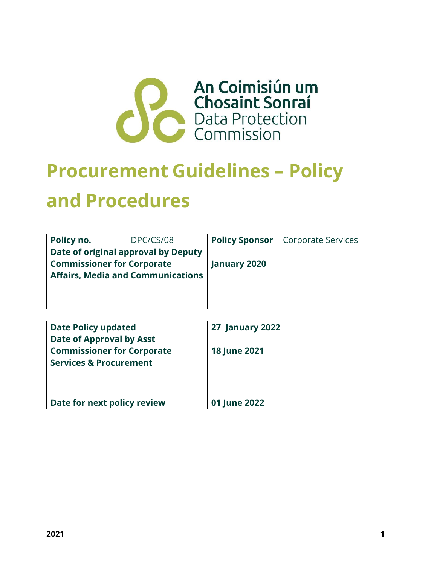

# **Procurement Guidelines – Policy and Procedures**

| Policy no.                               | DPC/CS/08 | <b>Policy Sponsor</b> | Corporate Services |
|------------------------------------------|-----------|-----------------------|--------------------|
| Date of original approval by Deputy      |           |                       |                    |
| <b>Commissioner for Corporate</b>        |           | <b>January 2020</b>   |                    |
| <b>Affairs, Media and Communications</b> |           |                       |                    |
|                                          |           |                       |                    |
|                                          |           |                       |                    |

| <b>Date Policy updated</b>                                                                         | <b>27 January 2022</b> |
|----------------------------------------------------------------------------------------------------|------------------------|
| Date of Approval by Asst<br><b>Commissioner for Corporate</b><br><b>Services &amp; Procurement</b> | <b>18 June 2021</b>    |
| Date for next policy review                                                                        | 01 June 2022           |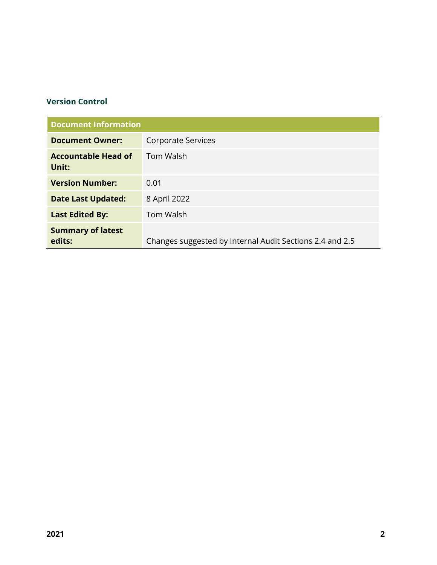#### **Version Control**

| <b>Document Information</b>         |                                                          |
|-------------------------------------|----------------------------------------------------------|
| <b>Document Owner:</b>              | Corporate Services                                       |
| <b>Accountable Head of</b><br>Unit: | <b>Tom Walsh</b>                                         |
| <b>Version Number:</b>              | 0.01                                                     |
| <b>Date Last Updated:</b>           | 8 April 2022                                             |
| <b>Last Edited By:</b>              | <b>Tom Walsh</b>                                         |
| <b>Summary of latest</b><br>edits:  | Changes suggested by Internal Audit Sections 2.4 and 2.5 |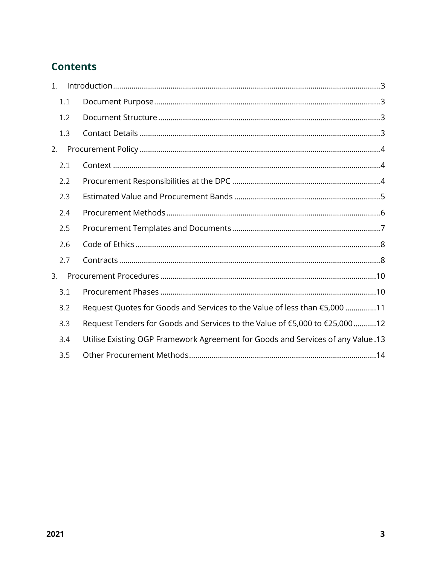# **Contents**

| 1. |     |                                                                                 |
|----|-----|---------------------------------------------------------------------------------|
|    | 1.1 |                                                                                 |
|    | 1.2 |                                                                                 |
|    | 1.3 |                                                                                 |
| 2. |     |                                                                                 |
|    | 2.1 |                                                                                 |
|    | 2.2 |                                                                                 |
|    | 2.3 |                                                                                 |
|    | 2.4 |                                                                                 |
|    | 2.5 |                                                                                 |
|    | 2.6 |                                                                                 |
|    | 2.7 |                                                                                 |
| 3. |     |                                                                                 |
|    | 3.1 |                                                                                 |
|    | 3.2 | Request Quotes for Goods and Services to the Value of less than €5,000 11       |
|    | 3.3 | Request Tenders for Goods and Services to the Value of €5,000 to €25,00012      |
|    | 3.4 | Utilise Existing OGP Framework Agreement for Goods and Services of any Value.13 |
|    | 3.5 |                                                                                 |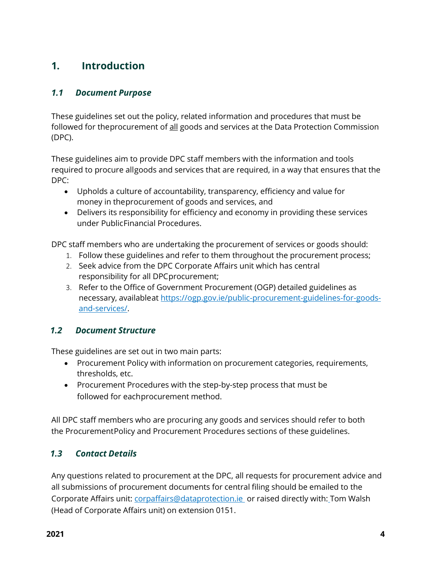# <span id="page-3-0"></span>**1. Introduction**

#### <span id="page-3-1"></span>*1.1 Document Purpose*

These guidelines set out the policy, related information and procedures that must be followed for theprocurement of all goods and services at the Data Protection Commission (DPC).

These guidelines aim to provide DPC staff members with the information and tools required to procure allgoods and services that are required, in a way that ensures that the DPC:

- Upholds a culture of accountability, transparency, efficiency and value for money in theprocurement of goods and services, and
- Delivers its responsibility for efficiency and economy in providing these services under PublicFinancial Procedures.

DPC staff members who are undertaking the procurement of services or goods should:

- 1. Follow these guidelines and refer to them throughout the procurement process;
- 2. Seek advice from the DPC Corporate Affairs unit which has central responsibility for all DPCprocurement;
- 3. Refer to the Office of Government Procurement (OGP) detailed guidelines as necessary, availableat [https://ogp.gov.ie/public-procurement-guidelines-for-goods](https://ogp.gov.ie/public-procurement-guidelines-for-goods-and-services/)[and-services/.](https://ogp.gov.ie/public-procurement-guidelines-for-goods-and-services/)

#### <span id="page-3-2"></span>*1.2 Document Structure*

These guidelines are set out in two main parts:

- Procurement Policy with information on procurement categories, requirements, thresholds, etc.
- Procurement Procedures with the step-by-step process that must be followed for eachprocurement method.

All DPC staff members who are procuring any goods and services should refer to both the ProcurementPolicy and Procurement Procedures sections of these guidelines.

## <span id="page-3-3"></span>*1.3 Contact Details*

Any questions related to procurement at the DPC, all requests for procurement advice and all submissions of procurement documents for central filing should be emailed to the Corporate Affairs unit: [corpaffairs@dataprotection.ie](mailto:corpaffairs@dataprotection.ie) or raised directly with: Tom Walsh (Head of Corporate Affairs unit) on extension 0151.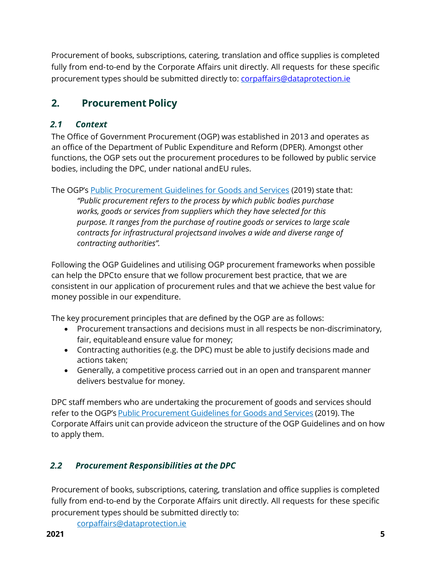<span id="page-4-0"></span>Procurement of books, subscriptions, catering, translation and office supplies is completed fully from end-to-end by the Corporate Affairs unit directly. All requests for these specific procurement types should be submitted directly to: [corpaffairs@dataprotection.ie](mailto:corpaffairs@dataprotection.ie)

# **2. Procurement Policy**

## <span id="page-4-1"></span>*2.1 Context*

The Office of Government Procurement (OGP) was established in 2013 and operates as an office of the Department of Public Expenditure and Reform (DPER). Amongst other functions, the OGP sets out the procurement procedures to be followed by public service bodies, including the DPC, under national andEU rules.

The OGP's Public [Procurement](https://ogp.gov.ie/public-procurement-guidelines-for-goods-and-services/) Guidelines for Goods and Services (2019) state that: *"Public procurement refers to the process by which public bodies purchase works, goods or services from suppliers which they have selected for this purpose. It ranges from the purchase of routine goods or services to large scale contracts for infrastructural projectsand involves a wide and diverse range of contracting authorities".* 

Following the OGP Guidelines and utilising OGP procurement frameworks when possible can help the DPCto ensure that we follow procurement best practice, that we are consistent in our application of procurement rules and that we achieve the best value for money possible in our expenditure.

The key procurement principles that are defined by the OGP are as follows:

- Procurement transactions and decisions must in all respects be non-discriminatory, fair, equitableand ensure value for money;
- Contracting authorities (e.g. the DPC) must be able to justify decisions made and actions taken;
- Generally, a competitive process carried out in an open and transparent manner delivers bestvalue for money.

DPC staff members who are undertaking the procurement of goods and services should refer to the OGP's Public [Procurement](https://ogp.gov.ie/public-procurement-guidelines-for-goods-and-services/) Guidelines for Goods and Services (2019). The Corporate Affairs unit can provide adviceon the structure of the OGP Guidelines and on how to apply them.

## <span id="page-4-2"></span>*2.2 Procurement Responsibilities at the DPC*

Procurement of books, subscriptions, catering, translation and office supplies is completed fully from end-to-end by the Corporate Affairs unit directly. All requests for these specific procurement types should be submitted directly to:

[corpaffairs@dataprotection.ie](mailto:corpaffairs@dataprotection.ie)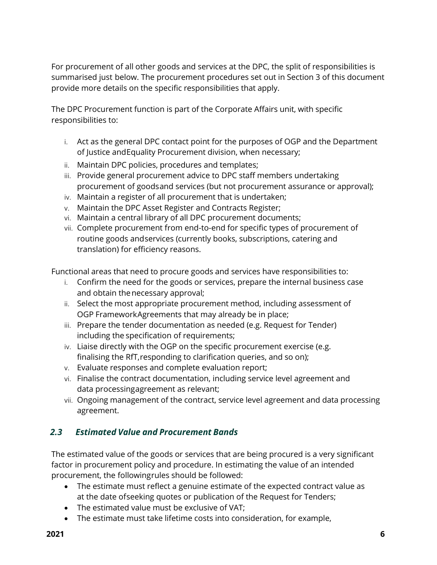For procurement of all other goods and services at the DPC, the split of responsibilities is summarised just below. The procurement procedures set out in Section 3 of this document provide more details on the specific responsibilities that apply.

The DPC Procurement function is part of the Corporate Affairs unit, with specific responsibilities to:

- i. Act as the general DPC contact point for the purposes of OGP and the Department of Justice andEquality Procurement division, when necessary;
- ii. Maintain DPC policies, procedures and templates;
- iii. Provide general procurement advice to DPC staff members undertaking procurement of goodsand services (but not procurement assurance or approval);
- iv. Maintain a register of all procurement that is undertaken;
- v. Maintain the DPC Asset Register and Contracts Register;
- vi. Maintain a central library of all DPC procurement documents;
- vii. Complete procurement from end-to-end for specific types of procurement of routine goods andservices (currently books, subscriptions, catering and translation) for efficiency reasons.

Functional areas that need to procure goods and services have responsibilities to:

- i. Confirm the need for the goods or services, prepare the internal business case and obtain the necessary approval;
- ii. Select the most appropriate procurement method, including assessment of OGP FrameworkAgreements that may already be in place;
- iii. Prepare the tender documentation as needed (e.g. Request for Tender) including the specification of requirements;
- iv. Liaise directly with the OGP on the specific procurement exercise (e.g. finalising the RfT,responding to clarification queries, and so on);
- v. Evaluate responses and complete evaluation report;
- vi. Finalise the contract documentation, including service level agreement and data processingagreement as relevant;
- vii. Ongoing management of the contract, service level agreement and data processing agreement.

#### <span id="page-5-0"></span>*2.3 Estimated Value and Procurement Bands*

The estimated value of the goods or services that are being procured is a very significant factor in procurement policy and procedure. In estimating the value of an intended procurement, the followingrules should be followed:

- The estimate must reflect a genuine estimate of the expected contract value as at the date ofseeking quotes or publication of the Request for Tenders;
- The estimated value must be exclusive of VAT;
- The estimate must take lifetime costs into consideration, for example,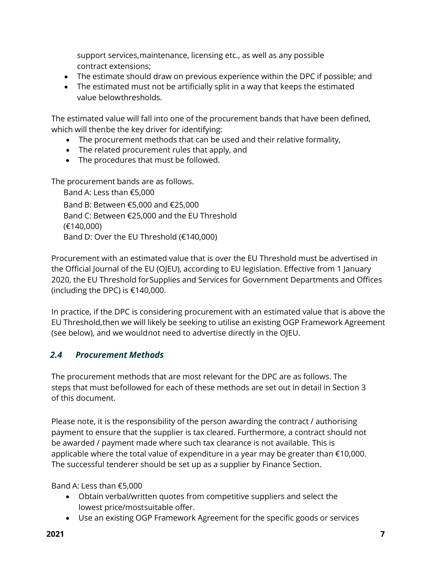support services,maintenance, licensing etc., as well as any possible contract extensions;

- The estimate should draw on previous experience within the DPC if possible; and
- The estimated must not be artificially split in a way that keeps the estimated value belowthresholds.

The estimated value will fall into one of the procurement bands that have been defined, which will thenbe the key driver for identifying:

- The procurement methods that can be used and their relative formality,
- The related procurement rules that apply, and
- The procedures that must be followed.

The procurement bands are as follows.

Band A: Less than €5,000 Band B: Between €5,000 and €25,000 Band C: Between €25,000 and the EU Threshold (€140,000) Band D: Over the EU Threshold (€140,000)

Procurement with an estimated value that is over the EU Threshold must be advertised in the Official Journal of the EU (OJEU), according to EU legislation. Effective from 1 January 2020, the EU Threshold forSupplies and Services for Government Departments and Offices (including the DPC) is  $€140,000$ .

In practice, if the DPC is considering procurement with an estimated value that is above the EU Threshold,then we will likely be seeking to utilise an existing OGP Framework Agreement (see below), and we wouldnot need to advertise directly in the OJEU.

## <span id="page-6-0"></span>*2.4 Procurement Methods*

The procurement methods that are most relevant for the DPC are as follows. The steps that must befollowed for each of these methods are set out in detail in Section 3 of this document.

Please note, it is the responsibility of the person awarding the contract / authorising payment to ensure that the supplier is tax cleared. Furthermore, a contract should not be awarded / payment made where such tax clearance is not available. This is applicable where the total value of expenditure in a year may be greater than €10,000. The successful tenderer should be set up as a supplier by Finance Section.

Band A: Less than €5,000

- Obtain verbal/written quotes from competitive suppliers and select the lowest price/mostsuitable offer.
- Use an existing OGP Framework Agreement for the specific goods or services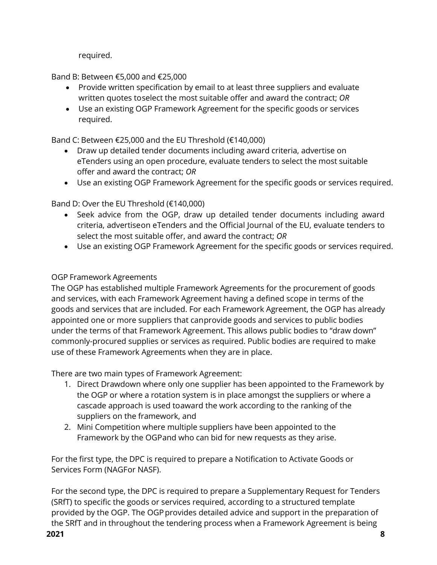required.

Band B: Between €5,000 and €25,000

- Provide written specification by email to at least three suppliers and evaluate written quotes toselect the most suitable offer and award the contract; *OR*
- Use an existing OGP Framework Agreement for the specific goods or services required.

Band C: Between €25,000 and the EU Threshold (€140,000)

- Draw up detailed tender documents including award criteria, advertise on eTenders using an open procedure, evaluate tenders to select the most suitable offer and award the contract; *OR*
- Use an existing OGP Framework Agreement for the specific goods or services required.

Band D: Over the EU Threshold (€140,000)

- Seek advice from the OGP, draw up detailed tender documents including award criteria, advertiseon eTenders and the Official Journal of the EU, evaluate tenders to select the most suitable offer, and award the contract; *OR*
- Use an existing OGP Framework Agreement for the specific goods or services required.

#### OGP Framework Agreements

The OGP has established multiple Framework Agreements for the procurement of goods and services, with each Framework Agreement having a defined scope in terms of the goods and services that are included. For each Framework Agreement, the OGP has already appointed one or more suppliers that canprovide goods and services to public bodies under the terms of that Framework Agreement. This allows public bodies to "draw down" commonly-procured supplies or services as required. Public bodies are required to make use of these Framework Agreements when they are in place.

There are two main types of Framework Agreement:

- 1. Direct Drawdown where only one supplier has been appointed to the Framework by the OGP or where a rotation system is in place amongst the suppliers or where a cascade approach is used toaward the work according to the ranking of the suppliers on the framework, and
- 2. Mini Competition where multiple suppliers have been appointed to the Framework by the OGPand who can bid for new requests as they arise.

For the first type, the DPC is required to prepare a Notification to Activate Goods or Services Form (NAGFor NASF).

For the second type, the DPC is required to prepare a Supplementary Request for Tenders (SRfT) to specific the goods or services required, according to a structured template provided by the OGP. The OGP provides detailed advice and support in the preparation of the SRfT and in throughout the tendering process when a Framework Agreement is being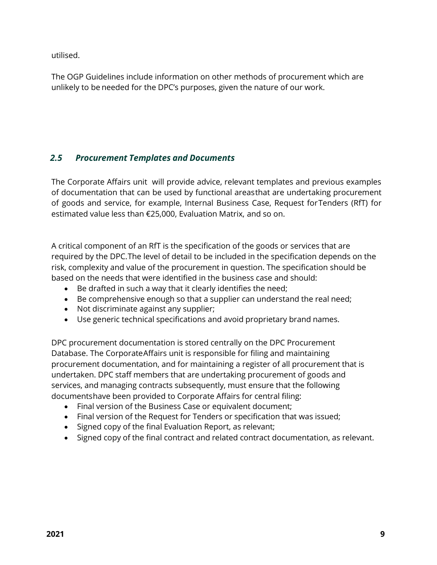utilised.

The OGP Guidelines include information on other methods of procurement which are unlikely to be needed for the DPC's purposes, given the nature of our work.

## <span id="page-8-0"></span>*2.5 Procurement Templates and Documents*

The Corporate Affairs unit will provide advice, relevant templates and previous examples of documentation that can be used by functional areasthat are undertaking procurement of goods and service, for example, Internal Business Case, Request forTenders (RfT) for estimated value less than €25,000, Evaluation Matrix, and so on.

A critical component of an RfT is the specification of the goods or services that are required by the DPC.The level of detail to be included in the specification depends on the risk, complexity and value of the procurement in question. The specification should be based on the needs that were identified in the business case and should:

- Be drafted in such a way that it clearly identifies the need;
- Be comprehensive enough so that a supplier can understand the real need;
- Not discriminate against any supplier;
- Use generic technical specifications and avoid proprietary brand names.

DPC procurement documentation is stored centrally on the DPC Procurement Database. The CorporateAffairs unit is responsible for filing and maintaining procurement documentation, and for maintaining a register of all procurement that is undertaken. DPC staff members that are undertaking procurement of goods and services, and managing contracts subsequently, must ensure that the following documentshave been provided to Corporate Affairs for central filing:

- Final version of the Business Case or equivalent document;
- Final version of the Request for Tenders or specification that was issued;
- Signed copy of the final Evaluation Report, as relevant;
- Signed copy of the final contract and related contract documentation, as relevant.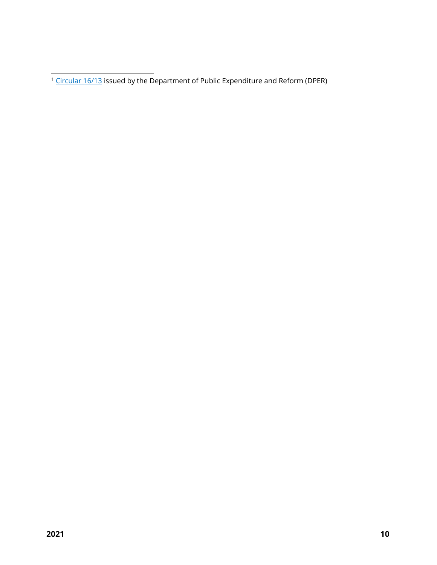<sup>1</sup> [Circular](https://circulars.gov.ie/pdf/circular/per/2013/16.pdf) 16/13 issued by the Department of Public Expenditure and Reform (DPER)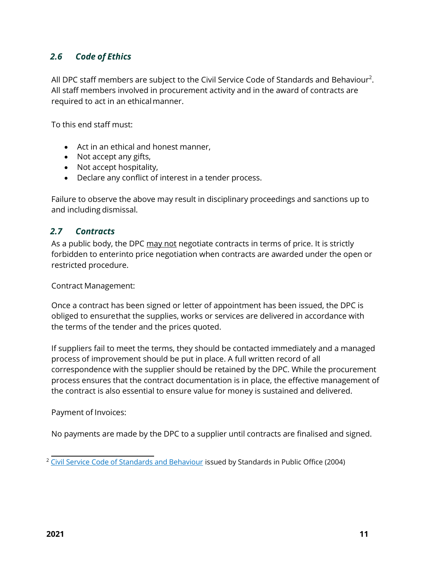### <span id="page-10-0"></span>*2.6 Code of Ethics*

All DPC staff members are subject to the Civil Service Code of Standards and Behaviour<sup>2</sup>. All staff members involved in procurement activity and in the award of contracts are required to act in an ethical manner.

To this end staff must:

- Act in an ethical and honest manner,
- Not accept any gifts,
- Not accept hospitality,
- Declare any conflict of interest in a tender process.

Failure to observe the above may result in disciplinary proceedings and sanctions up to and including dismissal.

#### <span id="page-10-1"></span>*2.7 Contracts*

As a public body, the DPC may not negotiate contracts in terms of price. It is strictly forbidden to enterinto price negotiation when contracts are awarded under the open or restricted procedure.

Contract Management:

Once a contract has been signed or letter of appointment has been issued, the DPC is obliged to ensurethat the supplies, works or services are delivered in accordance with the terms of the tender and the prices quoted.

If suppliers fail to meet the terms, they should be contacted immediately and a managed process of improvement should be put in place. A full written record of all correspondence with the supplier should be retained by the DPC. While the procurement process ensures that the contract documentation is in place, the effective management of the contract is also essential to ensure value for money is sustained and delivered.

Payment of Invoices:

No payments are made by the DPC to a supplier until contracts are finalised and signed.

<sup>&</sup>lt;sup>2</sup> Civil Service Code of Standards and [Behaviour](https://sipo.ie/acts-and-codes/codes-of-conduct/civil-servants/index.xml?&Language=en) issued by Standards in Public Office (2004)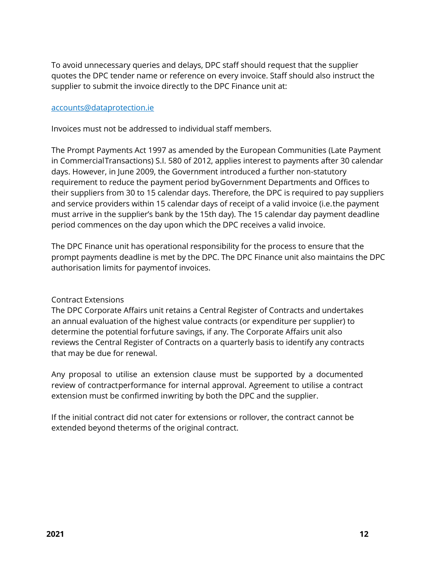To avoid unnecessary queries and delays, DPC staff should request that the supplier quotes the DPC tender name or reference on every invoice. Staff should also instruct the supplier to submit the invoice directly to the DPC Finance unit at:

#### [accounts@dataprotection.ie](mailto:accounts@dataprotection.ie)

Invoices must not be addressed to individual staff members.

The Prompt Payments Act 1997 as amended by the European Communities (Late Payment in CommercialTransactions) S.I. 580 of 2012, applies interest to payments after 30 calendar days. However, in June 2009, the Government introduced a further non-statutory requirement to reduce the payment period byGovernment Departments and Offices to their suppliers from 30 to 15 calendar days. Therefore, the DPC is required to pay suppliers and service providers within 15 calendar days of receipt of a valid invoice (i.e.the payment must arrive in the supplier's bank by the 15th day). The 15 calendar day payment deadline period commences on the day upon which the DPC receives a valid invoice.

The DPC Finance unit has operational responsibility for the process to ensure that the prompt payments deadline is met by the DPC. The DPC Finance unit also maintains the DPC authorisation limits for paymentof invoices.

#### Contract Extensions

The DPC Corporate Affairs unit retains a Central Register of Contracts and undertakes an annual evaluation of the highest value contracts (or expenditure per supplier) to determine the potential forfuture savings, if any. The Corporate Affairs unit also reviews the Central Register of Contracts on a quarterly basis to identify any contracts that may be due for renewal.

Any proposal to utilise an extension clause must be supported by a documented review of contractperformance for internal approval. Agreement to utilise a contract extension must be confirmed inwriting by both the DPC and the supplier.

If the initial contract did not cater for extensions or rollover, the contract cannot be extended beyond theterms of the original contract.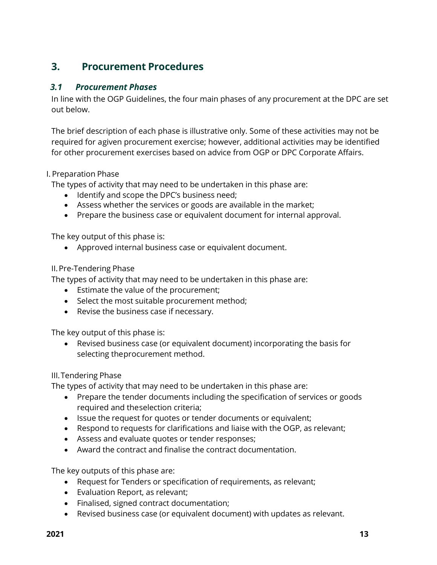## <span id="page-12-0"></span>**3. Procurement Procedures**

#### <span id="page-12-1"></span>*3.1 Procurement Phases*

In line with the OGP Guidelines, the four main phases of any procurement at the DPC are set out below.

The brief description of each phase is illustrative only. Some of these activities may not be required for agiven procurement exercise; however, additional activities may be identified for other procurement exercises based on advice from OGP or DPC Corporate Affairs.

#### I. Preparation Phase

The types of activity that may need to be undertaken in this phase are:

- Identify and scope the DPC's business need;
- Assess whether the services or goods are available in the market;
- Prepare the business case or equivalent document for internal approval.

The key output of this phase is:

Approved internal business case or equivalent document.

#### II.Pre-Tendering Phase

The types of activity that may need to be undertaken in this phase are:

- **Estimate the value of the procurement;**
- Select the most suitable procurement method;
- Revise the business case if necessary.

The key output of this phase is:

 Revised business case (or equivalent document) incorporating the basis for selecting theprocurement method.

#### III.Tendering Phase

The types of activity that may need to be undertaken in this phase are:

- Prepare the tender documents including the specification of services or goods required and theselection criteria;
- Issue the request for quotes or tender documents or equivalent;
- Respond to requests for clarifications and liaise with the OGP, as relevant;
- Assess and evaluate quotes or tender responses;
- Award the contract and finalise the contract documentation.

The key outputs of this phase are:

- Request for Tenders or specification of requirements, as relevant;
- Evaluation Report, as relevant;
- Finalised, signed contract documentation;
- Revised business case (or equivalent document) with updates as relevant.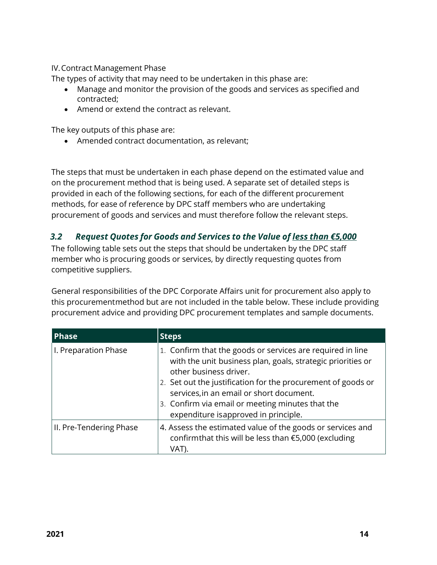IV.Contract Management Phase

The types of activity that may need to be undertaken in this phase are:

- Manage and monitor the provision of the goods and services as specified and contracted;
- Amend or extend the contract as relevant.

The key outputs of this phase are:

Amended contract documentation, as relevant;

The steps that must be undertaken in each phase depend on the estimated value and on the procurement method that is being used. A separate set of detailed steps is provided in each of the following sections, for each of the different procurement methods, for ease of reference by DPC staff members who are undertaking procurement of goods and services and must therefore follow the relevant steps.

#### <span id="page-13-0"></span>*3.2 Request Quotes for Goods and Services to the Value of less than €5,000*

The following table sets out the steps that should be undertaken by the DPC staff member who is procuring goods or services, by directly requesting quotes from competitive suppliers.

General responsibilities of the DPC Corporate Affairs unit for procurement also apply to this procurementmethod but are not included in the table below. These include providing procurement advice and providing DPC procurement templates and sample documents.

| <b>Phase</b>            | <b>Steps</b>                                                                                                                                                                                                                                                                                                                                                |
|-------------------------|-------------------------------------------------------------------------------------------------------------------------------------------------------------------------------------------------------------------------------------------------------------------------------------------------------------------------------------------------------------|
| I. Preparation Phase    | 1. Confirm that the goods or services are required in line<br>with the unit business plan, goals, strategic priorities or<br>other business driver.<br>2. Set out the justification for the procurement of goods or<br>services, in an email or short document.<br>3. Confirm via email or meeting minutes that the<br>expenditure isapproved in principle. |
| II. Pre-Tendering Phase | 4. Assess the estimated value of the goods or services and<br>confirmthat this will be less than €5,000 (excluding<br>VAT).                                                                                                                                                                                                                                 |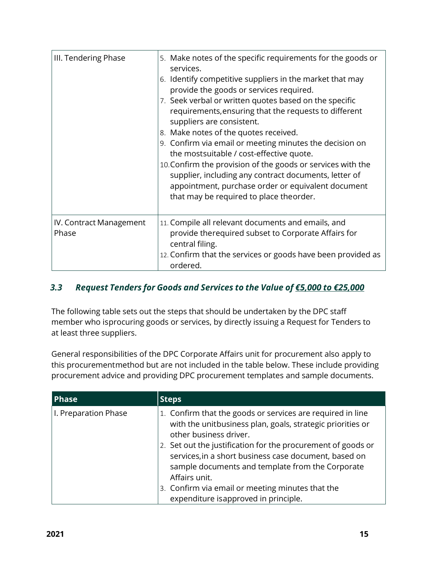| III. Tendering Phase             | 5. Make notes of the specific requirements for the goods or<br>services.<br>6. Identify competitive suppliers in the market that may<br>provide the goods or services required.<br>7. Seek verbal or written quotes based on the specific<br>requirements, ensuring that the requests to different<br>suppliers are consistent.<br>8. Make notes of the quotes received.<br>9. Confirm via email or meeting minutes the decision on<br>the most suitable / cost-effective quote.<br>10. Confirm the provision of the goods or services with the<br>supplier, including any contract documents, letter of<br>appointment, purchase order or equivalent document<br>that may be required to place theorder. |
|----------------------------------|-----------------------------------------------------------------------------------------------------------------------------------------------------------------------------------------------------------------------------------------------------------------------------------------------------------------------------------------------------------------------------------------------------------------------------------------------------------------------------------------------------------------------------------------------------------------------------------------------------------------------------------------------------------------------------------------------------------|
| IV. Contract Management<br>Phase | 11. Compile all relevant documents and emails, and<br>provide therequired subset to Corporate Affairs for<br>central filing.<br>12. Confirm that the services or goods have been provided as<br>ordered.                                                                                                                                                                                                                                                                                                                                                                                                                                                                                                  |

#### <span id="page-14-0"></span>*3.3 Request Tenders for Goods and Services to the Value of €5,000 to €25,000*

The following table sets out the steps that should be undertaken by the DPC staff member who isprocuring goods or services, by directly issuing a Request for Tenders to at least three suppliers.

General responsibilities of the DPC Corporate Affairs unit for procurement also apply to this procurementmethod but are not included in the table below. These include providing procurement advice and providing DPC procurement templates and sample documents.

| <b>Phase</b>         | Steps                                                                                                                                                                                                                                                                                                                                                                                                                                           |
|----------------------|-------------------------------------------------------------------------------------------------------------------------------------------------------------------------------------------------------------------------------------------------------------------------------------------------------------------------------------------------------------------------------------------------------------------------------------------------|
| I. Preparation Phase | 1. Confirm that the goods or services are required in line<br>with the unitbusiness plan, goals, strategic priorities or<br>other business driver.<br>Set out the justification for the procurement of goods or<br>2.<br>services, in a short business case document, based on<br>sample documents and template from the Corporate<br>Affairs unit.<br>3. Confirm via email or meeting minutes that the<br>expenditure isapproved in principle. |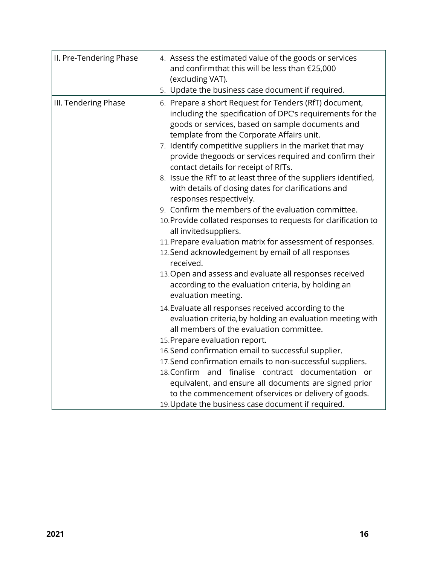| II. Pre-Tendering Phase | 4. Assess the estimated value of the goods or services<br>and confirmthat this will be less than €25,000<br>(excluding VAT).<br>5. Update the business case document if required.                                                                                                                                                                                                                                                                                                                                                                                                                                                                                                                                                                                                                                                                                                                                                                                       |
|-------------------------|-------------------------------------------------------------------------------------------------------------------------------------------------------------------------------------------------------------------------------------------------------------------------------------------------------------------------------------------------------------------------------------------------------------------------------------------------------------------------------------------------------------------------------------------------------------------------------------------------------------------------------------------------------------------------------------------------------------------------------------------------------------------------------------------------------------------------------------------------------------------------------------------------------------------------------------------------------------------------|
| III. Tendering Phase    | 6. Prepare a short Request for Tenders (RfT) document,<br>including the specification of DPC's requirements for the<br>goods or services, based on sample documents and<br>template from the Corporate Affairs unit.<br>7. Identify competitive suppliers in the market that may<br>provide thegoods or services required and confirm their<br>contact details for receipt of RfTs.<br>8. Issue the RfT to at least three of the suppliers identified,<br>with details of closing dates for clarifications and<br>responses respectively.<br>9. Confirm the members of the evaluation committee.<br>10. Provide collated responses to requests for clarification to<br>all invited suppliers.<br>11. Prepare evaluation matrix for assessment of responses.<br>12. Send acknowledgement by email of all responses<br>received.<br>13. Open and assess and evaluate all responses received<br>according to the evaluation criteria, by holding an<br>evaluation meeting. |
|                         | 14. Evaluate all responses received according to the<br>evaluation criteria, by holding an evaluation meeting with<br>all members of the evaluation committee.<br>15. Prepare evaluation report.<br>16. Send confirmation email to successful supplier.<br>17. Send confirmation emails to non-successful suppliers.<br>18. Confirm and finalise contract documentation or<br>equivalent, and ensure all documents are signed prior<br>to the commencement ofservices or delivery of goods.<br>19. Update the business case document if required.                                                                                                                                                                                                                                                                                                                                                                                                                       |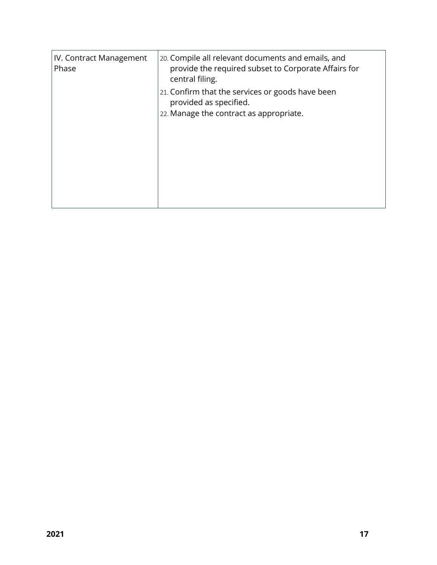| <b>IV. Contract Management</b><br>Phase | 20. Compile all relevant documents and emails, and<br>provide the required subset to Corporate Affairs for<br>central filing. |
|-----------------------------------------|-------------------------------------------------------------------------------------------------------------------------------|
|                                         | 21. Confirm that the services or goods have been<br>provided as specified.                                                    |
|                                         | 22. Manage the contract as appropriate.                                                                                       |
|                                         |                                                                                                                               |
|                                         |                                                                                                                               |
|                                         |                                                                                                                               |
|                                         |                                                                                                                               |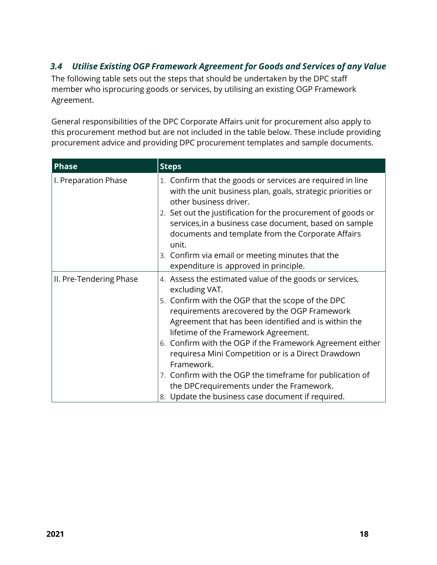## <span id="page-17-0"></span>*3.4 Utilise Existing OGP Framework Agreement for Goods and Services of any Value*

The following table sets out the steps that should be undertaken by the DPC staff member who isprocuring goods or services, by utilising an existing OGP Framework Agreement.

General responsibilities of the DPC Corporate Affairs unit for procurement also apply to this procurement method but are not included in the table below. These include providing procurement advice and providing DPC procurement templates and sample documents.

| <b>Phase</b>            | <b>Steps</b>                                                                                                                                                                                                                                                                                                                                                                                                                                                                                                                                                                  |
|-------------------------|-------------------------------------------------------------------------------------------------------------------------------------------------------------------------------------------------------------------------------------------------------------------------------------------------------------------------------------------------------------------------------------------------------------------------------------------------------------------------------------------------------------------------------------------------------------------------------|
| I. Preparation Phase    | 1. Confirm that the goods or services are required in line<br>with the unit business plan, goals, strategic priorities or<br>other business driver.<br>2. Set out the justification for the procurement of goods or<br>services, in a business case document, based on sample<br>documents and template from the Corporate Affairs<br>unit.<br>3. Confirm via email or meeting minutes that the<br>expenditure is approved in principle.                                                                                                                                      |
| II. Pre-Tendering Phase | 4. Assess the estimated value of the goods or services,<br>excluding VAT.<br>5. Confirm with the OGP that the scope of the DPC<br>requirements arecovered by the OGP Framework<br>Agreement that has been identified and is within the<br>lifetime of the Framework Agreement.<br>6. Confirm with the OGP if the Framework Agreement either<br>requiresa Mini Competition or is a Direct Drawdown<br>Framework.<br>7. Confirm with the OGP the timeframe for publication of<br>the DPC requirements under the Framework.<br>8. Update the business case document if required. |